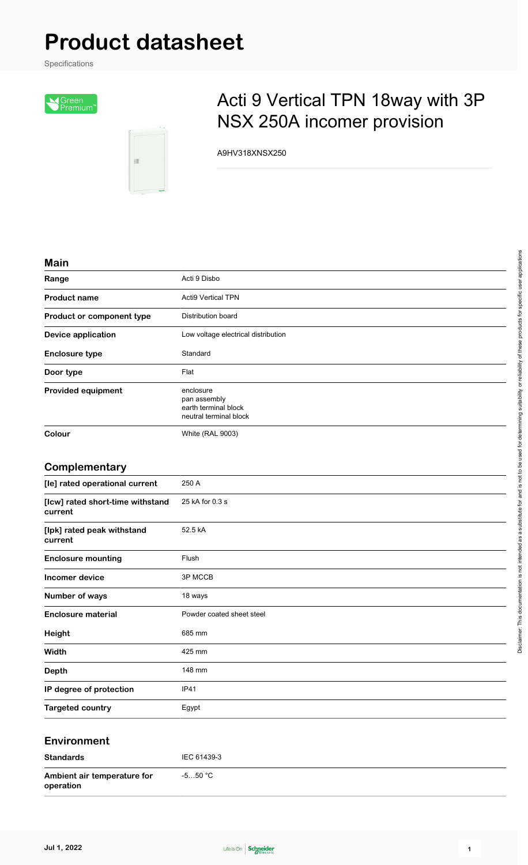# **Product datasheet**

Specifications





## Acti 9 Vertical TPN 18way with 3P NSX 250A incomer provision

A9HV318XNSX250

#### **Main**

| waw                       |                                                                             |
|---------------------------|-----------------------------------------------------------------------------|
| Range                     | Acti 9 Disbo                                                                |
| <b>Product name</b>       | <b>Acti9 Vertical TPN</b>                                                   |
| Product or component type | Distribution board                                                          |
| <b>Device application</b> | Low voltage electrical distribution                                         |
| <b>Enclosure type</b>     | Standard                                                                    |
| Door type                 | Flat                                                                        |
| <b>Provided equipment</b> | enclosure<br>pan assembly<br>earth terminal block<br>neutral terminal block |
| Colour                    | <b>White (RAL 9003)</b>                                                     |

#### **Complementary**

| [le] rated operational current              | 250 A                     |
|---------------------------------------------|---------------------------|
|                                             |                           |
| [Icw] rated short-time withstand<br>current | 25 kA for 0.3 s           |
| [lpk] rated peak withstand<br>current       | 52.5 kA                   |
| <b>Enclosure mounting</b>                   | Flush                     |
| Incomer device                              | 3P MCCB                   |
| Number of ways                              | 18 ways                   |
| <b>Enclosure material</b>                   | Powder coated sheet steel |
| Height                                      | 685 mm                    |
| Width                                       | 425 mm                    |
| <b>Depth</b>                                | 148 mm                    |
| IP degree of protection                     | IP41                      |
| <b>Targeted country</b>                     | Egypt                     |

#### **Environment**

| <b>Standards</b>                         | IEC 61439-3 |
|------------------------------------------|-------------|
| Ambient air temperature for<br>operation | -5…50 °C    |